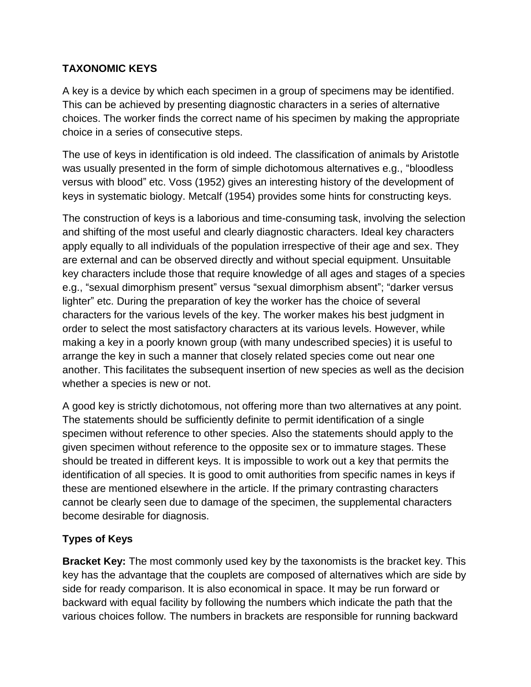## **TAXONOMIC KEYS**

A key is a device by which each specimen in a group of specimens may be identified. This can be achieved by presenting diagnostic characters in a series of alternative choices. The worker finds the correct name of his specimen by making the appropriate choice in a series of consecutive steps.

The use of keys in identification is old indeed. The classification of animals by Aristotle was usually presented in the form of simple dichotomous alternatives e.g., "bloodless versus with blood" etc. Voss (1952) gives an interesting history of the development of keys in systematic biology. Metcalf (1954) provides some hints for constructing keys.

The construction of keys is a laborious and time-consuming task, involving the selection and shifting of the most useful and clearly diagnostic characters. Ideal key characters apply equally to all individuals of the population irrespective of their age and sex. They are external and can be observed directly and without special equipment. Unsuitable key characters include those that require knowledge of all ages and stages of a species e.g., "sexual dimorphism present" versus "sexual dimorphism absent"; "darker versus lighter" etc. During the preparation of key the worker has the choice of several characters for the various levels of the key. The worker makes his best judgment in order to select the most satisfactory characters at its various levels. However, while making a key in a poorly known group (with many undescribed species) it is useful to arrange the key in such a manner that closely related species come out near one another. This facilitates the subsequent insertion of new species as well as the decision whether a species is new or not.

A good key is strictly dichotomous, not offering more than two alternatives at any point. The statements should be sufficiently definite to permit identification of a single specimen without reference to other species. Also the statements should apply to the given specimen without reference to the opposite sex or to immature stages. These should be treated in different keys. It is impossible to work out a key that permits the identification of all species. It is good to omit authorities from specific names in keys if these are mentioned elsewhere in the article. If the primary contrasting characters cannot be clearly seen due to damage of the specimen, the supplemental characters become desirable for diagnosis.

## **Types of Keys**

**Bracket Key:** The most commonly used key by the taxonomists is the bracket key. This key has the advantage that the couplets are composed of alternatives which are side by side for ready comparison. It is also economical in space. It may be run forward or backward with equal facility by following the numbers which indicate the path that the various choices follow. The numbers in brackets are responsible for running backward